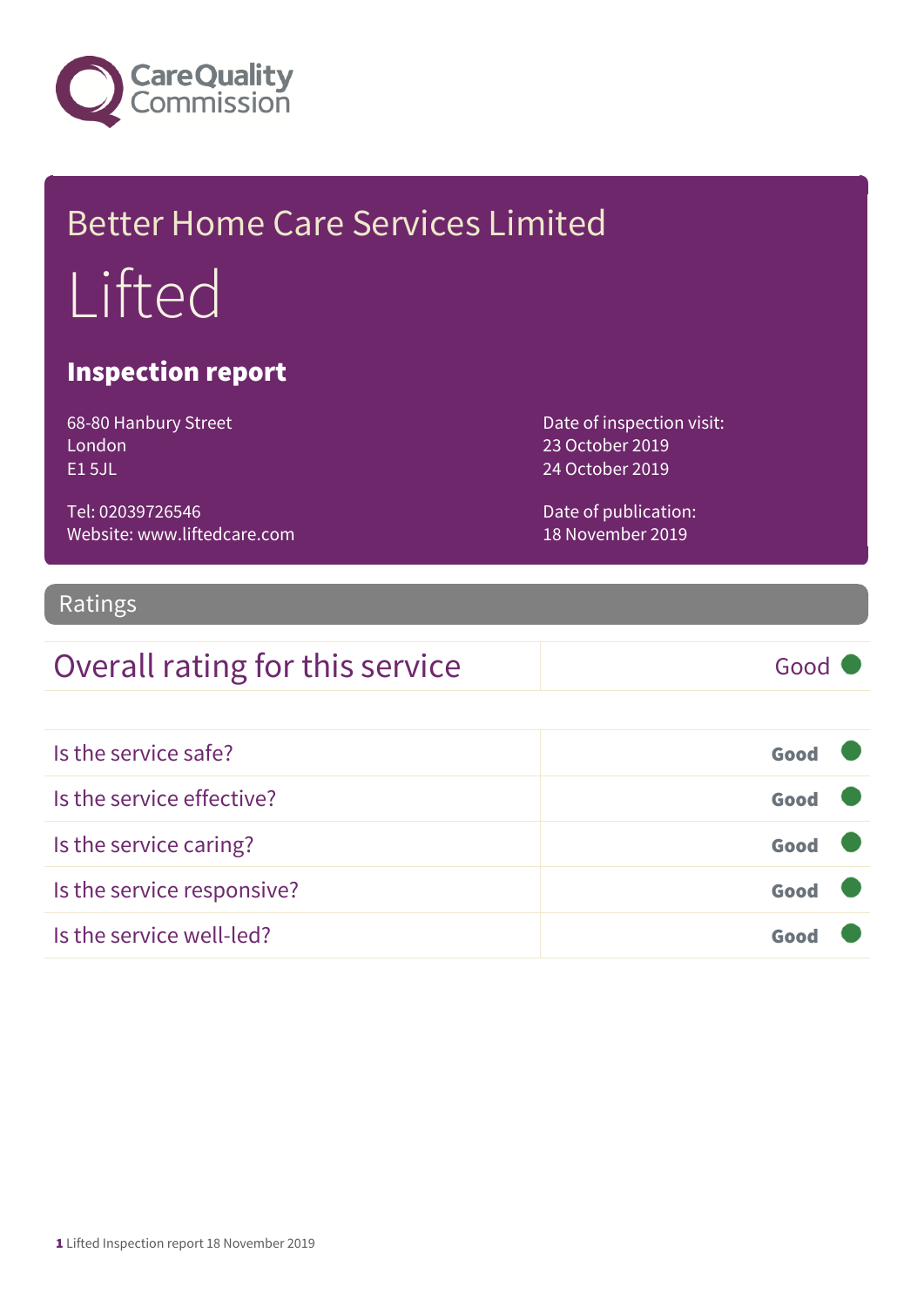

# Better Home Care Services Limited Lifted

### Inspection report

68-80 Hanbury Street London E1 5JL

Tel: 02039726546 Website: www.liftedcare.com Date of inspection visit: 23 October 2019 24 October 2019

Date of publication: 18 November 2019

### Ratings

### Overall rating for this service Good

| Is the service safe?       | Good |  |
|----------------------------|------|--|
| Is the service effective?  | Good |  |
| Is the service caring?     | Good |  |
| Is the service responsive? | Good |  |
| Is the service well-led?   | Goo  |  |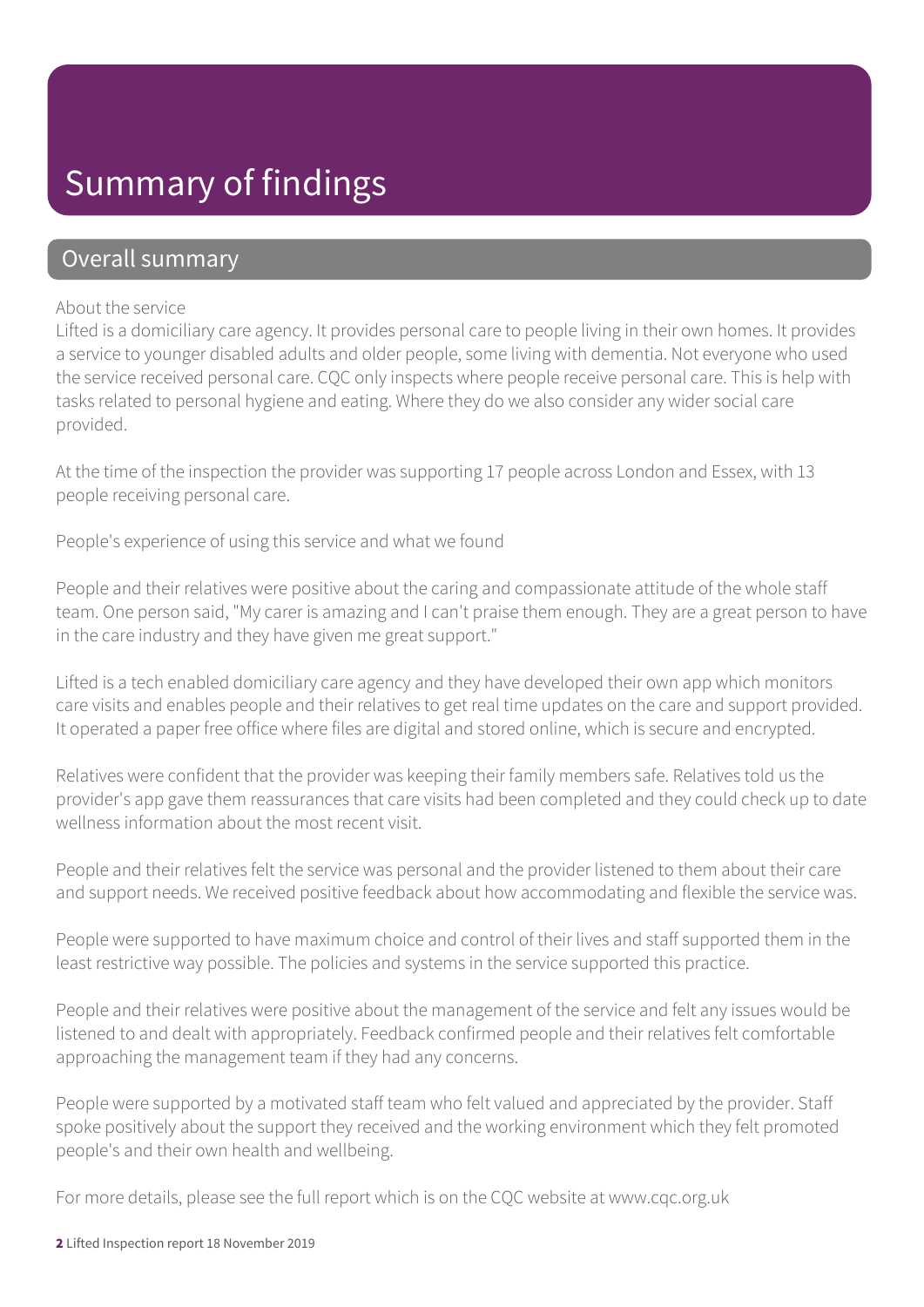### Summary of findings

### Overall summary

#### About the service

Lifted is a domiciliary care agency. It provides personal care to people living in their own homes. It provides a service to younger disabled adults and older people, some living with dementia. Not everyone who used the service received personal care. CQC only inspects where people receive personal care. This is help with tasks related to personal hygiene and eating. Where they do we also consider any wider social care provided.

At the time of the inspection the provider was supporting 17 people across London and Essex, with 13 people receiving personal care.

People's experience of using this service and what we found

People and their relatives were positive about the caring and compassionate attitude of the whole staff team. One person said, "My carer is amazing and I can't praise them enough. They are a great person to have in the care industry and they have given me great support."

Lifted is a tech enabled domiciliary care agency and they have developed their own app which monitors care visits and enables people and their relatives to get real time updates on the care and support provided. It operated a paper free office where files are digital and stored online, which is secure and encrypted.

Relatives were confident that the provider was keeping their family members safe. Relatives told us the provider's app gave them reassurances that care visits had been completed and they could check up to date wellness information about the most recent visit.

People and their relatives felt the service was personal and the provider listened to them about their care and support needs. We received positive feedback about how accommodating and flexible the service was.

People were supported to have maximum choice and control of their lives and staff supported them in the least restrictive way possible. The policies and systems in the service supported this practice.

People and their relatives were positive about the management of the service and felt any issues would be listened to and dealt with appropriately. Feedback confirmed people and their relatives felt comfortable approaching the management team if they had any concerns.

People were supported by a motivated staff team who felt valued and appreciated by the provider. Staff spoke positively about the support they received and the working environment which they felt promoted people's and their own health and wellbeing.

For more details, please see the full report which is on the CQC website at www.cqc.org.uk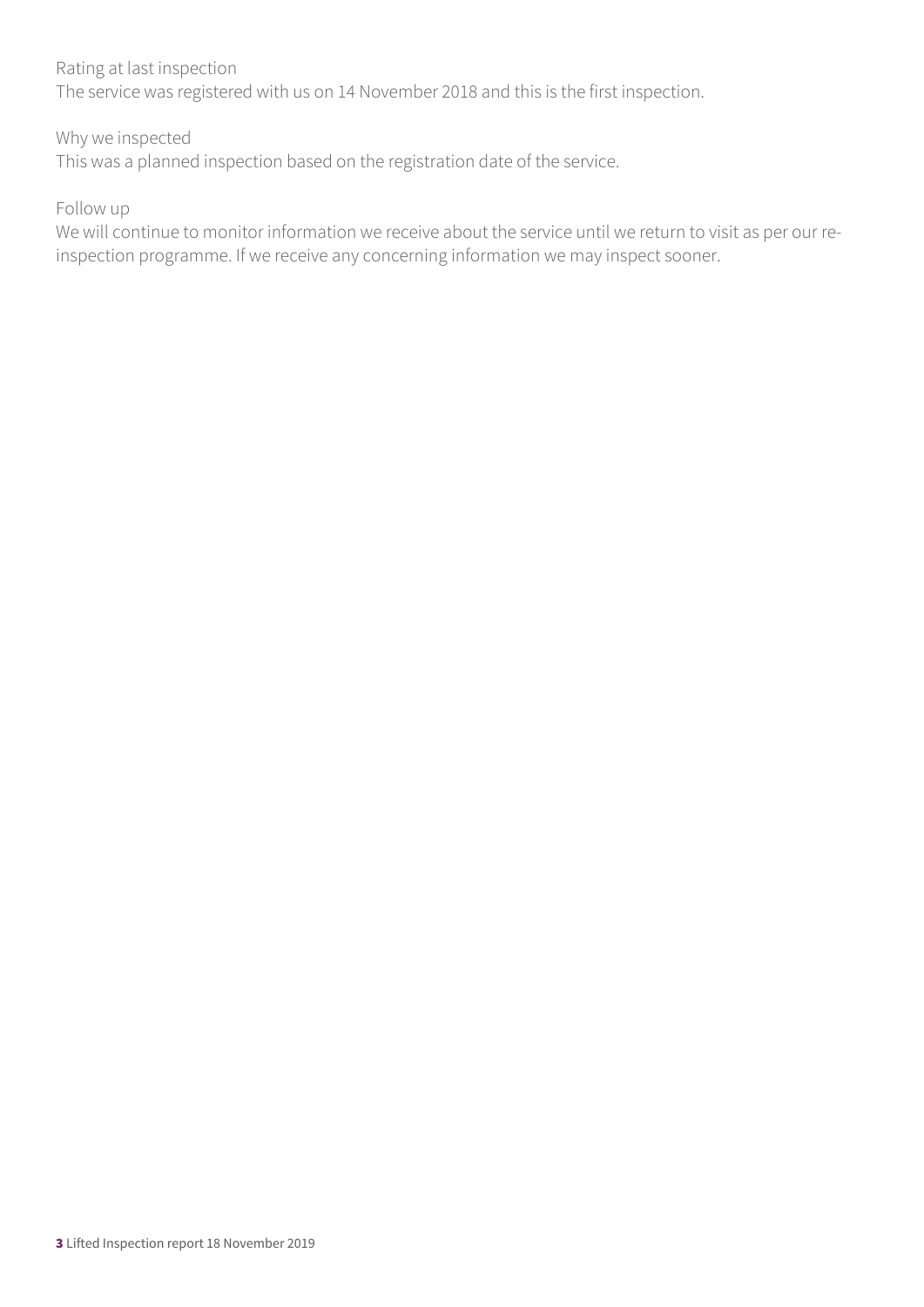#### Rating at last inspection

The service was registered with us on 14 November 2018 and this is the first inspection.

#### Why we inspected

This was a planned inspection based on the registration date of the service.

#### Follow up

We will continue to monitor information we receive about the service until we return to visit as per our reinspection programme. If we receive any concerning information we may inspect sooner.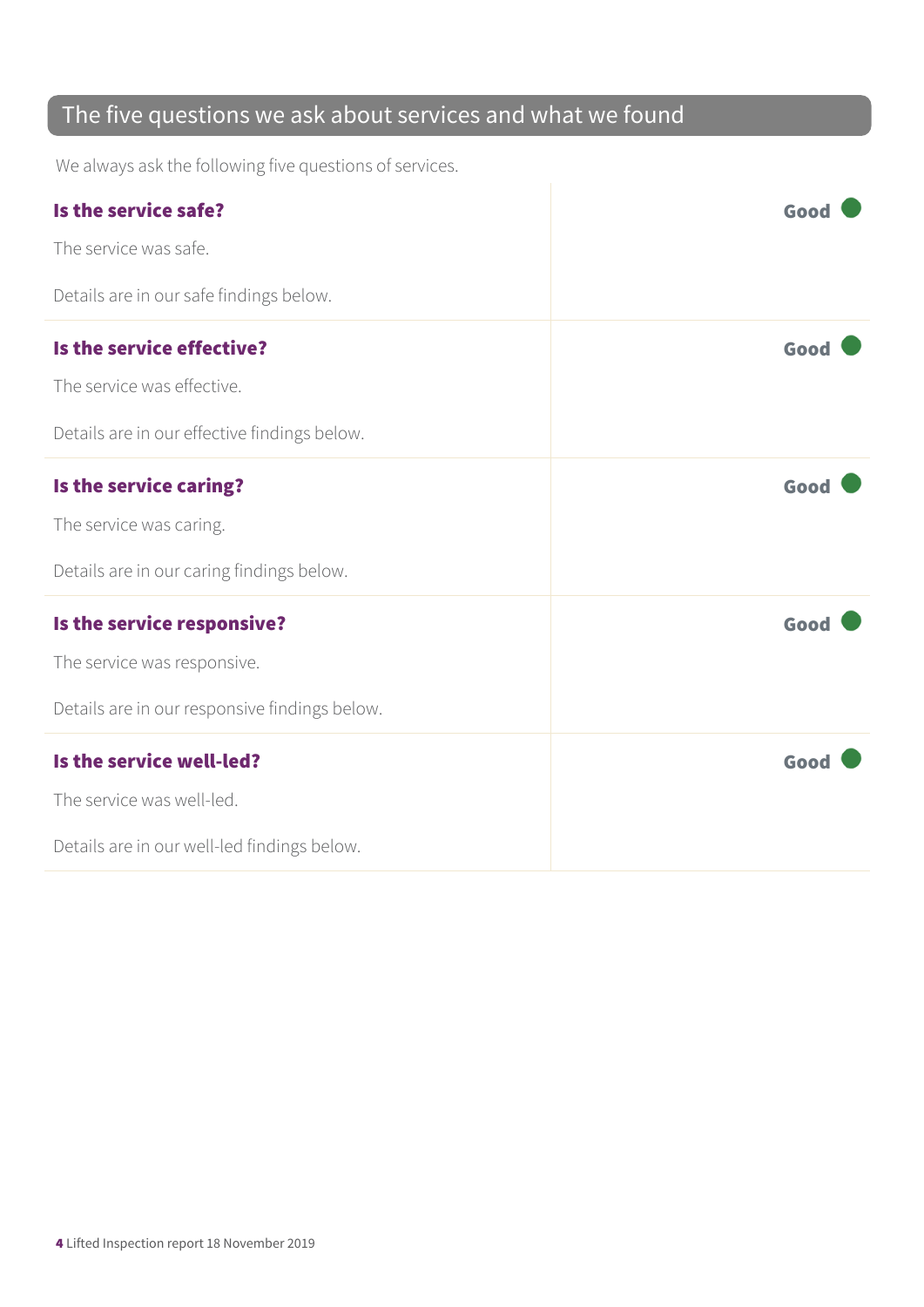### The five questions we ask about services and what we found

We always ask the following five questions of services.

| Is the service safe?                          | Good |
|-----------------------------------------------|------|
| The service was safe.                         |      |
| Details are in our safe findings below.       |      |
| Is the service effective?                     | Good |
| The service was effective.                    |      |
| Details are in our effective findings below.  |      |
| Is the service caring?                        | Good |
| The service was caring.                       |      |
| Details are in our caring findings below.     |      |
| Is the service responsive?                    | Good |
| The service was responsive.                   |      |
| Details are in our responsive findings below. |      |
| Is the service well-led?                      | Good |
| The service was well-led.                     |      |
| Details are in our well-led findings below.   |      |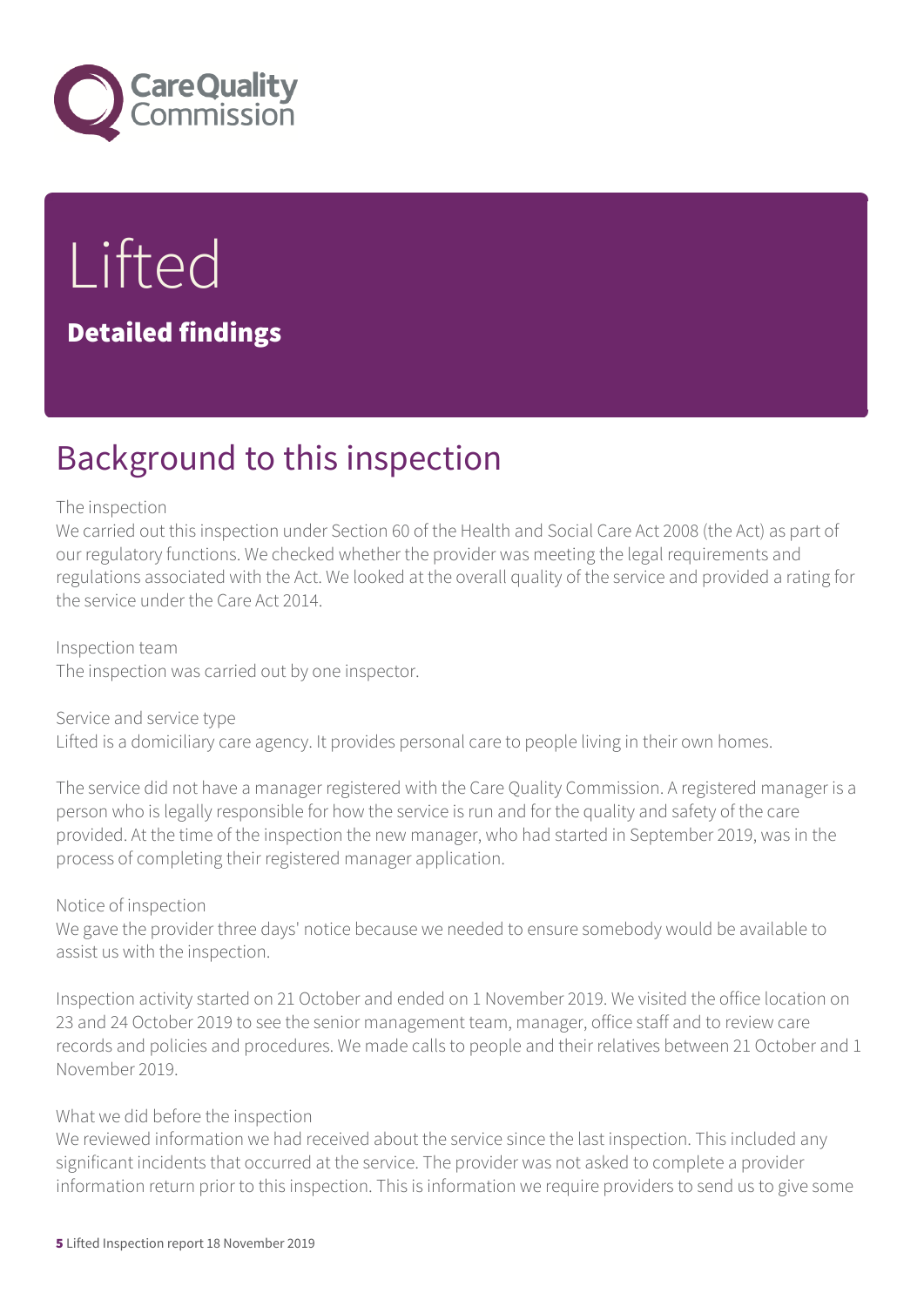

Lifted Detailed findings

# Background to this inspection

#### The inspection

We carried out this inspection under Section 60 of the Health and Social Care Act 2008 (the Act) as part of our regulatory functions. We checked whether the provider was meeting the legal requirements and regulations associated with the Act. We looked at the overall quality of the service and provided a rating for the service under the Care Act 2014.

Inspection team The inspection was carried out by one inspector.

Service and service type Lifted is a domiciliary care agency. It provides personal care to people living in their own homes.

The service did not have a manager registered with the Care Quality Commission. A registered manager is a person who is legally responsible for how the service is run and for the quality and safety of the care provided. At the time of the inspection the new manager, who had started in September 2019, was in the process of completing their registered manager application.

#### Notice of inspection

We gave the provider three days' notice because we needed to ensure somebody would be available to assist us with the inspection.

Inspection activity started on 21 October and ended on 1 November 2019. We visited the office location on 23 and 24 October 2019 to see the senior management team, manager, office staff and to review care records and policies and procedures. We made calls to people and their relatives between 21 October and 1 November 2019.

#### What we did before the inspection

We reviewed information we had received about the service since the last inspection. This included any significant incidents that occurred at the service. The provider was not asked to complete a provider information return prior to this inspection. This is information we require providers to send us to give some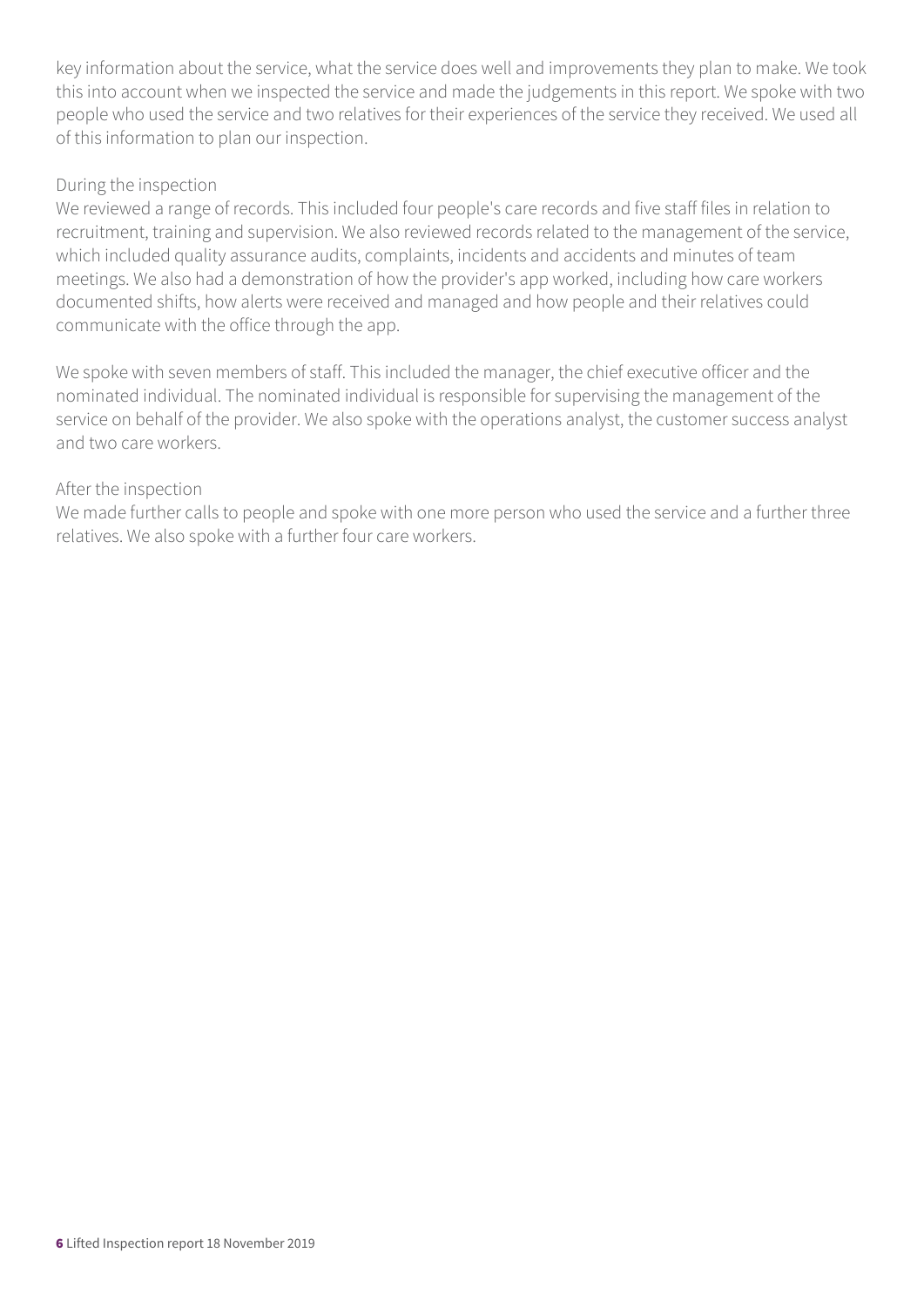key information about the service, what the service does well and improvements they plan to make. We took this into account when we inspected the service and made the judgements in this report. We spoke with two people who used the service and two relatives for their experiences of the service they received. We used all of this information to plan our inspection.

#### During the inspection

We reviewed a range of records. This included four people's care records and five staff files in relation to recruitment, training and supervision. We also reviewed records related to the management of the service, which included quality assurance audits, complaints, incidents and accidents and minutes of team meetings. We also had a demonstration of how the provider's app worked, including how care workers documented shifts, how alerts were received and managed and how people and their relatives could communicate with the office through the app.

We spoke with seven members of staff. This included the manager, the chief executive officer and the nominated individual. The nominated individual is responsible for supervising the management of the service on behalf of the provider. We also spoke with the operations analyst, the customer success analyst and two care workers.

#### After the inspection

We made further calls to people and spoke with one more person who used the service and a further three relatives. We also spoke with a further four care workers.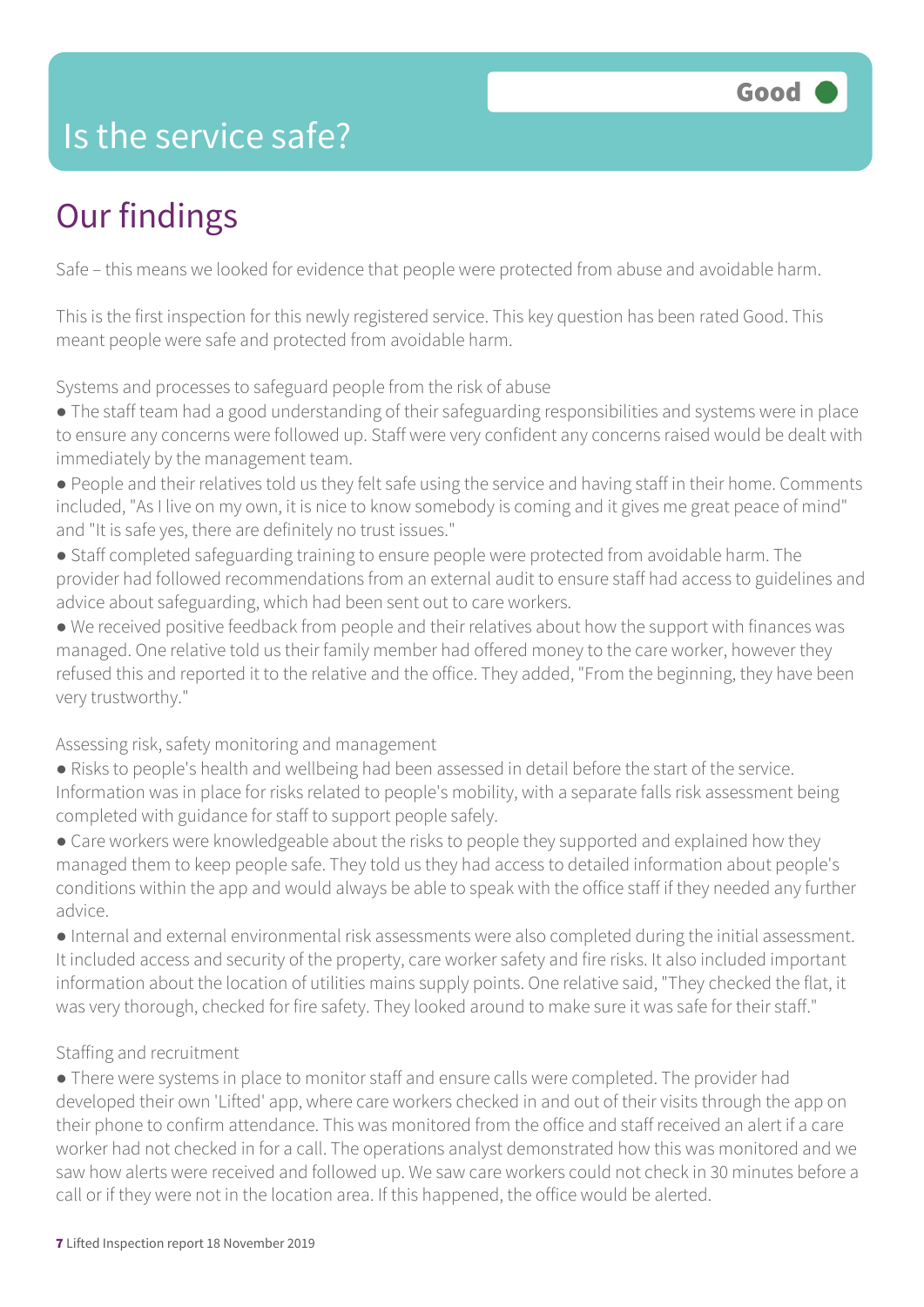### Is the service safe?

# Our findings

Safe – this means we looked for evidence that people were protected from abuse and avoidable harm.

This is the first inspection for this newly registered service. This key question has been rated Good. This meant people were safe and protected from avoidable harm.

Systems and processes to safeguard people from the risk of abuse

● The staff team had a good understanding of their safeguarding responsibilities and systems were in place to ensure any concerns were followed up. Staff were very confident any concerns raised would be dealt with immediately by the management team.

- People and their relatives told us they felt safe using the service and having staff in their home. Comments included, "As I live on my own, it is nice to know somebody is coming and it gives me great peace of mind" and "It is safe yes, there are definitely no trust issues."
- Staff completed safeguarding training to ensure people were protected from avoidable harm. The provider had followed recommendations from an external audit to ensure staff had access to guidelines and advice about safeguarding, which had been sent out to care workers.

● We received positive feedback from people and their relatives about how the support with finances was managed. One relative told us their family member had offered money to the care worker, however they refused this and reported it to the relative and the office. They added, "From the beginning, they have been very trustworthy."

Assessing risk, safety monitoring and management

● Risks to people's health and wellbeing had been assessed in detail before the start of the service. Information was in place for risks related to people's mobility, with a separate falls risk assessment being completed with guidance for staff to support people safely.

• Care workers were knowledgeable about the risks to people they supported and explained how they managed them to keep people safe. They told us they had access to detailed information about people's conditions within the app and would always be able to speak with the office staff if they needed any further advice.

● Internal and external environmental risk assessments were also completed during the initial assessment. It included access and security of the property, care worker safety and fire risks. It also included important information about the location of utilities mains supply points. One relative said, "They checked the flat, it was very thorough, checked for fire safety. They looked around to make sure it was safe for their staff."

#### Staffing and recruitment

● There were systems in place to monitor staff and ensure calls were completed. The provider had developed their own 'Lifted' app, where care workers checked in and out of their visits through the app on their phone to confirm attendance. This was monitored from the office and staff received an alert if a care worker had not checked in for a call. The operations analyst demonstrated how this was monitored and we saw how alerts were received and followed up. We saw care workers could not check in 30 minutes before a call or if they were not in the location area. If this happened, the office would be alerted.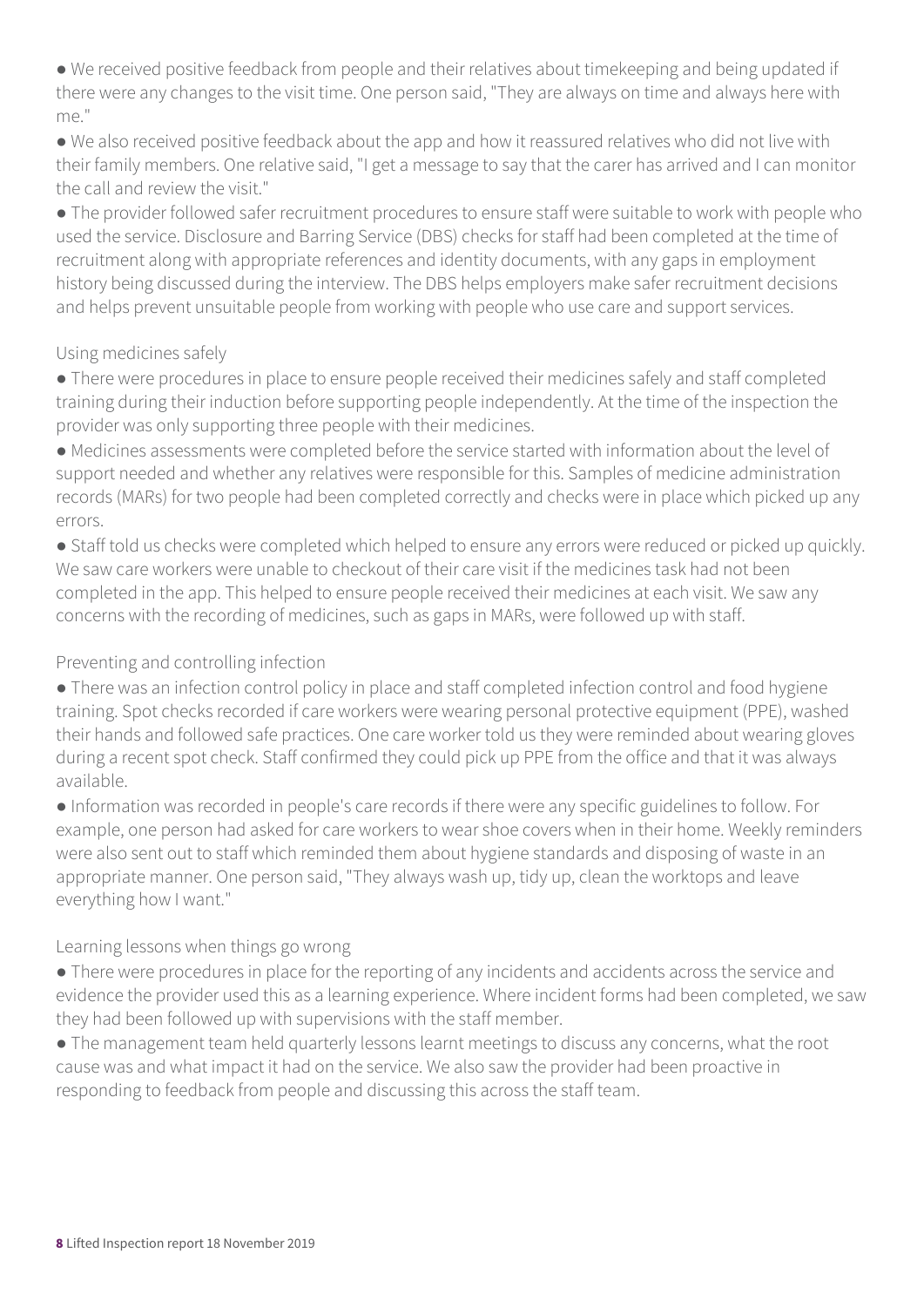● We received positive feedback from people and their relatives about timekeeping and being updated if there were any changes to the visit time. One person said, "They are always on time and always here with me."

● We also received positive feedback about the app and how it reassured relatives who did not live with their family members. One relative said, "I get a message to say that the carer has arrived and I can monitor the call and review the visit."

● The provider followed safer recruitment procedures to ensure staff were suitable to work with people who used the service. Disclosure and Barring Service (DBS) checks for staff had been completed at the time of recruitment along with appropriate references and identity documents, with any gaps in employment history being discussed during the interview. The DBS helps employers make safer recruitment decisions and helps prevent unsuitable people from working with people who use care and support services.

#### Using medicines safely

● There were procedures in place to ensure people received their medicines safely and staff completed training during their induction before supporting people independently. At the time of the inspection the provider was only supporting three people with their medicines.

● Medicines assessments were completed before the service started with information about the level of support needed and whether any relatives were responsible for this. Samples of medicine administration records (MARs) for two people had been completed correctly and checks were in place which picked up any errors.

● Staff told us checks were completed which helped to ensure any errors were reduced or picked up quickly. We saw care workers were unable to checkout of their care visit if the medicines task had not been completed in the app. This helped to ensure people received their medicines at each visit. We saw any concerns with the recording of medicines, such as gaps in MARs, were followed up with staff.

### Preventing and controlling infection

• There was an infection control policy in place and staff completed infection control and food hygiene training. Spot checks recorded if care workers were wearing personal protective equipment (PPE), washed their hands and followed safe practices. One care worker told us they were reminded about wearing gloves during a recent spot check. Staff confirmed they could pick up PPE from the office and that it was always available.

● Information was recorded in people's care records if there were any specific guidelines to follow. For example, one person had asked for care workers to wear shoe covers when in their home. Weekly reminders were also sent out to staff which reminded them about hygiene standards and disposing of waste in an appropriate manner. One person said, "They always wash up, tidy up, clean the worktops and leave everything how I want."

### Learning lessons when things go wrong

- There were procedures in place for the reporting of any incidents and accidents across the service and evidence the provider used this as a learning experience. Where incident forms had been completed, we saw they had been followed up with supervisions with the staff member.
- The management team held quarterly lessons learnt meetings to discuss any concerns, what the root cause was and what impact it had on the service. We also saw the provider had been proactive in responding to feedback from people and discussing this across the staff team.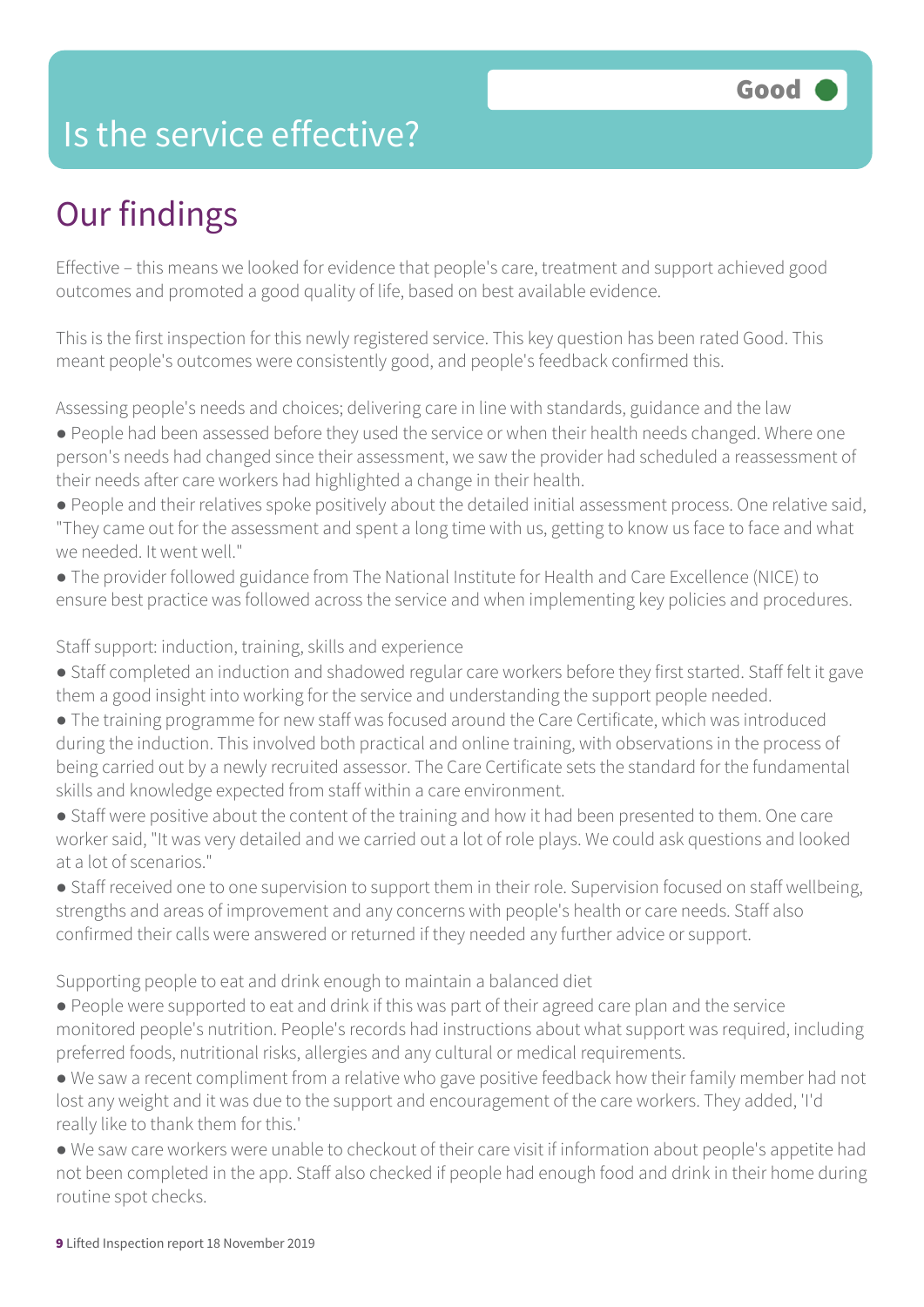### Is the service effective?

# Our findings

Effective – this means we looked for evidence that people's care, treatment and support achieved good outcomes and promoted a good quality of life, based on best available evidence.

This is the first inspection for this newly registered service. This key question has been rated Good. This meant people's outcomes were consistently good, and people's feedback confirmed this.

Assessing people's needs and choices; delivering care in line with standards, guidance and the law

- People had been assessed before they used the service or when their health needs changed. Where one person's needs had changed since their assessment, we saw the provider had scheduled a reassessment of their needs after care workers had highlighted a change in their health.
- People and their relatives spoke positively about the detailed initial assessment process. One relative said, "They came out for the assessment and spent a long time with us, getting to know us face to face and what we needed. It went well."
- The provider followed guidance from The National Institute for Health and Care Excellence (NICE) to ensure best practice was followed across the service and when implementing key policies and procedures.

Staff support: induction, training, skills and experience

- Staff completed an induction and shadowed regular care workers before they first started. Staff felt it gave them a good insight into working for the service and understanding the support people needed.
- The training programme for new staff was focused around the Care Certificate, which was introduced during the induction. This involved both practical and online training, with observations in the process of being carried out by a newly recruited assessor. The Care Certificate sets the standard for the fundamental skills and knowledge expected from staff within a care environment.
- Staff were positive about the content of the training and how it had been presented to them. One care worker said, "It was very detailed and we carried out a lot of role plays. We could ask questions and looked at a lot of scenarios."
- Staff received one to one supervision to support them in their role. Supervision focused on staff wellbeing, strengths and areas of improvement and any concerns with people's health or care needs. Staff also confirmed their calls were answered or returned if they needed any further advice or support.

Supporting people to eat and drink enough to maintain a balanced diet

- People were supported to eat and drink if this was part of their agreed care plan and the service monitored people's nutrition. People's records had instructions about what support was required, including preferred foods, nutritional risks, allergies and any cultural or medical requirements.
- We saw a recent compliment from a relative who gave positive feedback how their family member had not lost any weight and it was due to the support and encouragement of the care workers. They added, 'I'd really like to thank them for this.'
- We saw care workers were unable to checkout of their care visit if information about people's appetite had not been completed in the app. Staff also checked if people had enough food and drink in their home during routine spot checks.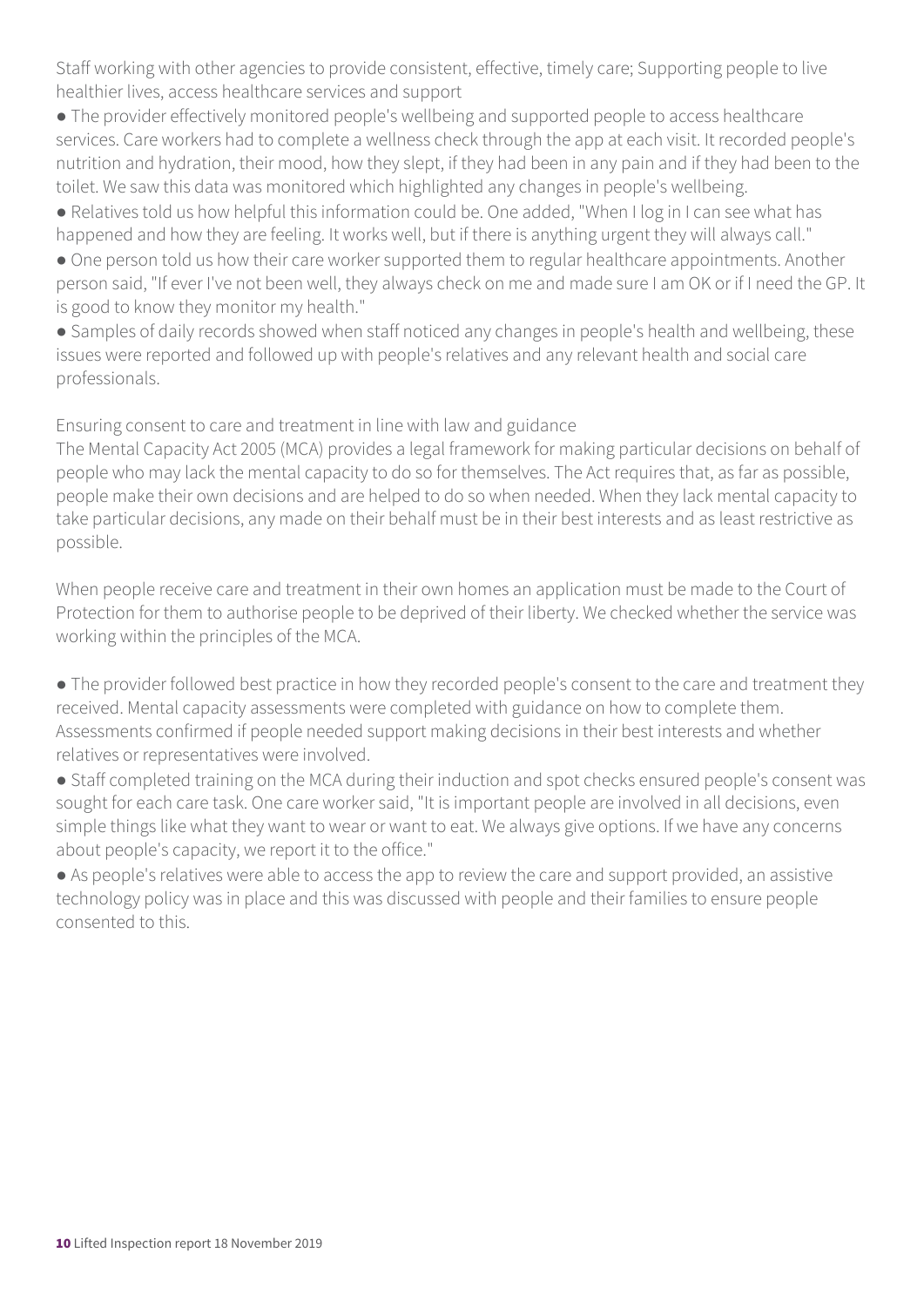Staff working with other agencies to provide consistent, effective, timely care; Supporting people to live healthier lives, access healthcare services and support

● The provider effectively monitored people's wellbeing and supported people to access healthcare services. Care workers had to complete a wellness check through the app at each visit. It recorded people's nutrition and hydration, their mood, how they slept, if they had been in any pain and if they had been to the toilet. We saw this data was monitored which highlighted any changes in people's wellbeing.

● Relatives told us how helpful this information could be. One added, "When I log in I can see what has happened and how they are feeling. It works well, but if there is anything urgent they will always call."

• One person told us how their care worker supported them to regular healthcare appointments. Another person said, "If ever I've not been well, they always check on me and made sure I am OK or if I need the GP. It is good to know they monitor my health."

● Samples of daily records showed when staff noticed any changes in people's health and wellbeing, these issues were reported and followed up with people's relatives and any relevant health and social care professionals.

Ensuring consent to care and treatment in line with law and guidance

The Mental Capacity Act 2005 (MCA) provides a legal framework for making particular decisions on behalf of people who may lack the mental capacity to do so for themselves. The Act requires that, as far as possible, people make their own decisions and are helped to do so when needed. When they lack mental capacity to take particular decisions, any made on their behalf must be in their best interests and as least restrictive as possible.

When people receive care and treatment in their own homes an application must be made to the Court of Protection for them to authorise people to be deprived of their liberty. We checked whether the service was working within the principles of the MCA.

• The provider followed best practice in how they recorded people's consent to the care and treatment they received. Mental capacity assessments were completed with guidance on how to complete them. Assessments confirmed if people needed support making decisions in their best interests and whether relatives or representatives were involved.

● Staff completed training on the MCA during their induction and spot checks ensured people's consent was sought for each care task. One care worker said, "It is important people are involved in all decisions, even simple things like what they want to wear or want to eat. We always give options. If we have any concerns about people's capacity, we report it to the office."

● As people's relatives were able to access the app to review the care and support provided, an assistive technology policy was in place and this was discussed with people and their families to ensure people consented to this.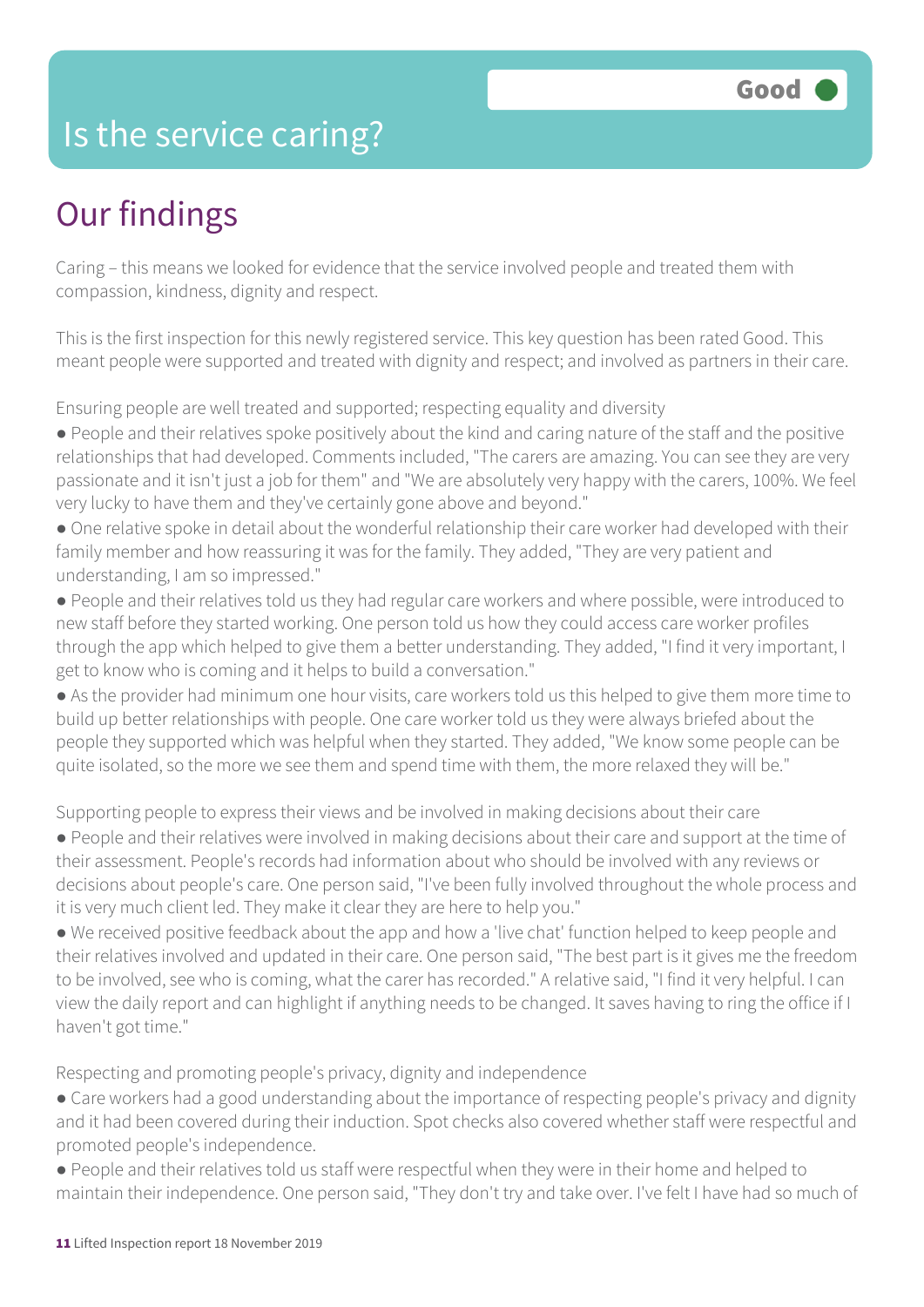### Is the service caring?

### Our findings

Caring – this means we looked for evidence that the service involved people and treated them with compassion, kindness, dignity and respect.

This is the first inspection for this newly registered service. This key question has been rated Good. This meant people were supported and treated with dignity and respect; and involved as partners in their care.

Ensuring people are well treated and supported; respecting equality and diversity

- People and their relatives spoke positively about the kind and caring nature of the staff and the positive relationships that had developed. Comments included, "The carers are amazing. You can see they are very passionate and it isn't just a job for them" and "We are absolutely very happy with the carers, 100%. We feel very lucky to have them and they've certainly gone above and beyond."
- One relative spoke in detail about the wonderful relationship their care worker had developed with their family member and how reassuring it was for the family. They added, "They are very patient and understanding, I am so impressed."
- People and their relatives told us they had regular care workers and where possible, were introduced to new staff before they started working. One person told us how they could access care worker profiles through the app which helped to give them a better understanding. They added, "I find it very important, I get to know who is coming and it helps to build a conversation."
- As the provider had minimum one hour visits, care workers told us this helped to give them more time to build up better relationships with people. One care worker told us they were always briefed about the people they supported which was helpful when they started. They added, "We know some people can be quite isolated, so the more we see them and spend time with them, the more relaxed they will be."

Supporting people to express their views and be involved in making decisions about their care

- People and their relatives were involved in making decisions about their care and support at the time of their assessment. People's records had information about who should be involved with any reviews or decisions about people's care. One person said, "I've been fully involved throughout the whole process and it is very much client led. They make it clear they are here to help you."
- We received positive feedback about the app and how a 'live chat' function helped to keep people and their relatives involved and updated in their care. One person said, "The best part is it gives me the freedom to be involved, see who is coming, what the carer has recorded." A relative said, "I find it very helpful. I can view the daily report and can highlight if anything needs to be changed. It saves having to ring the office if I haven't got time."

Respecting and promoting people's privacy, dignity and independence

- Care workers had a good understanding about the importance of respecting people's privacy and dignity and it had been covered during their induction. Spot checks also covered whether staff were respectful and promoted people's independence.
- People and their relatives told us staff were respectful when they were in their home and helped to maintain their independence. One person said, "They don't try and take over. I've felt I have had so much of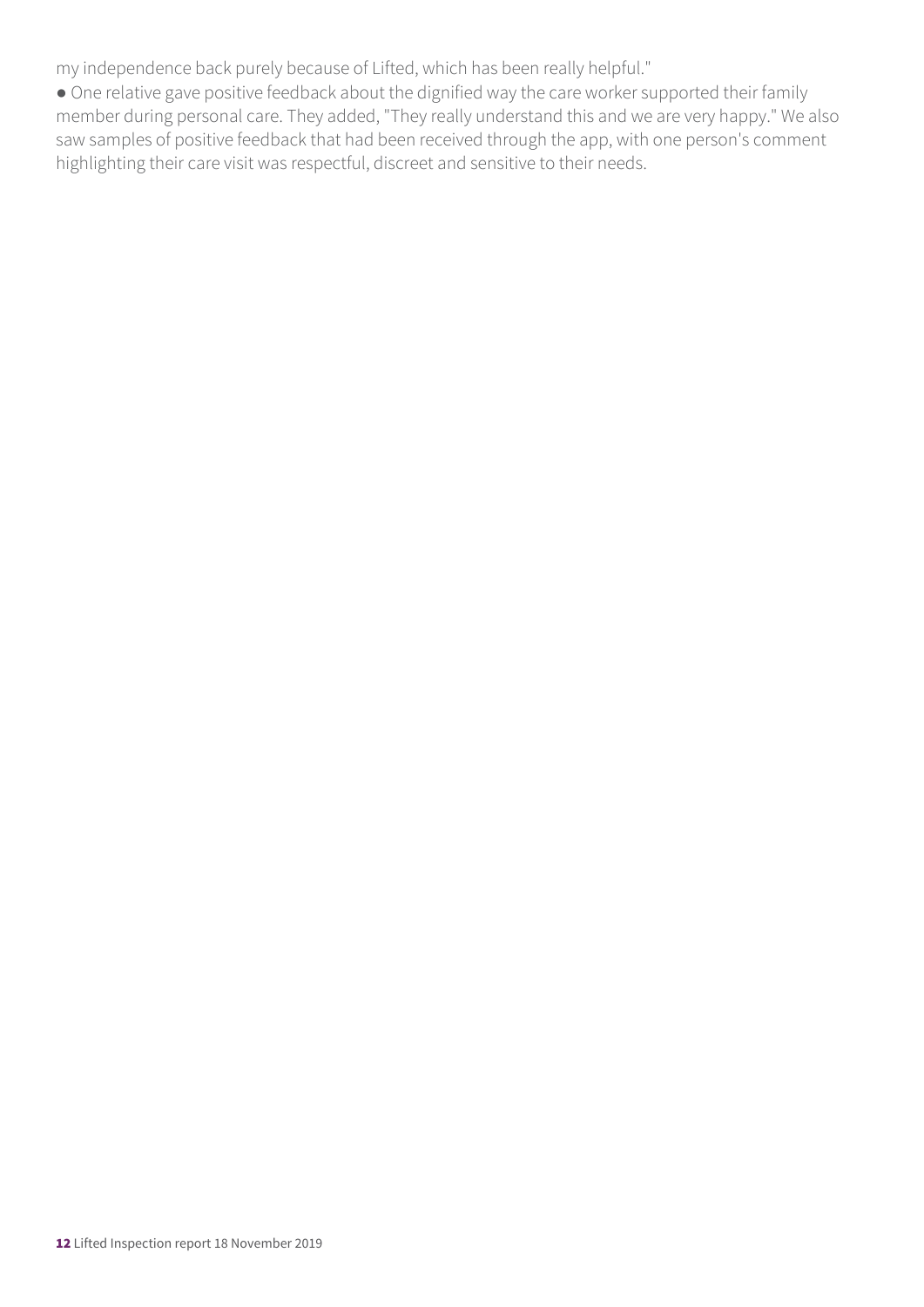my independence back purely because of Lifted, which has been really helpful."

● One relative gave positive feedback about the dignified way the care worker supported their family member during personal care. They added, "They really understand this and we are very happy." We also saw samples of positive feedback that had been received through the app, with one person's comment highlighting their care visit was respectful, discreet and sensitive to their needs.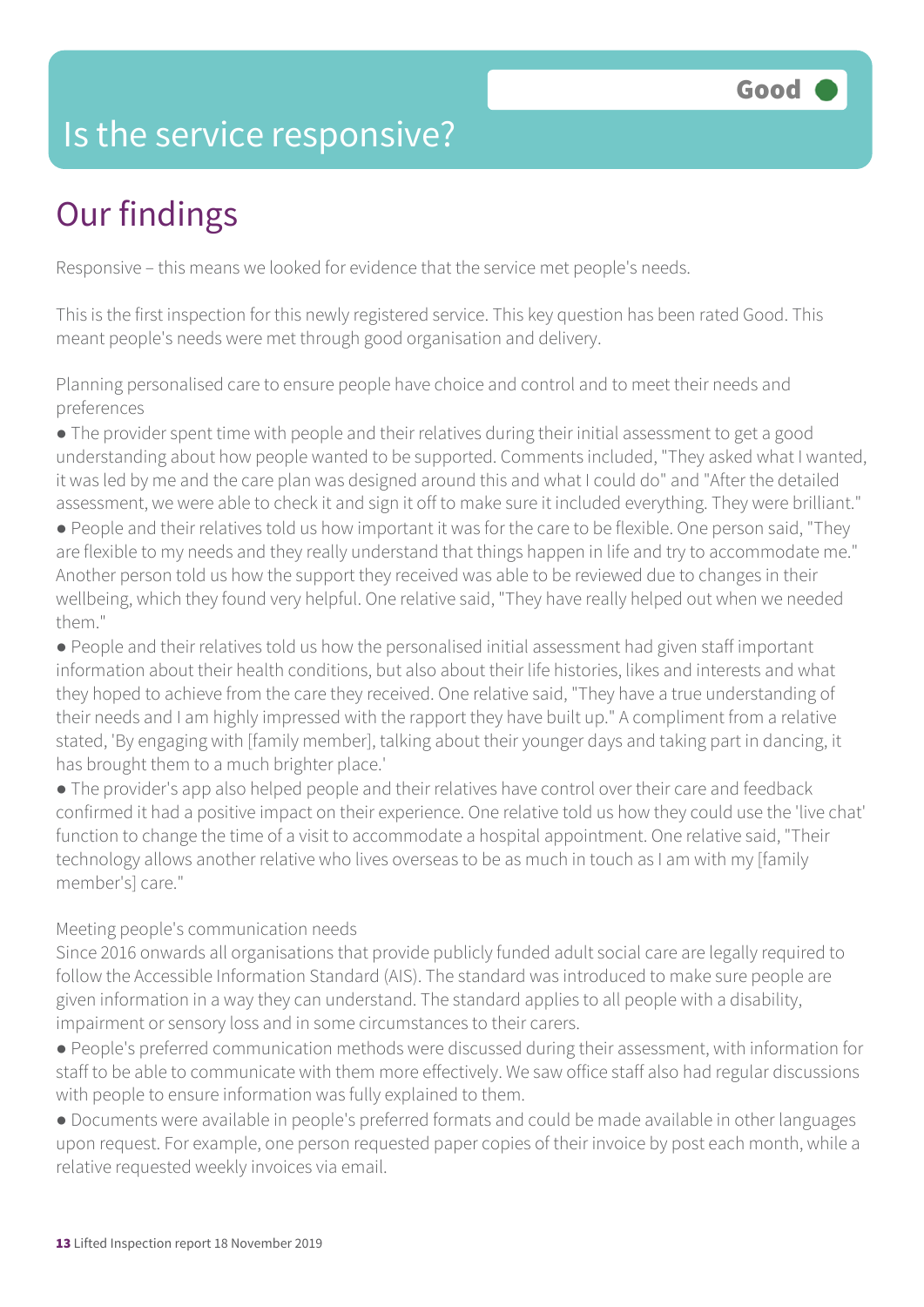### Is the service responsive?

# Our findings

Responsive – this means we looked for evidence that the service met people's needs.

This is the first inspection for this newly registered service. This key question has been rated Good. This meant people's needs were met through good organisation and delivery.

Planning personalised care to ensure people have choice and control and to meet their needs and preferences

● The provider spent time with people and their relatives during their initial assessment to get a good understanding about how people wanted to be supported. Comments included, "They asked what I wanted, it was led by me and the care plan was designed around this and what I could do" and "After the detailed assessment, we were able to check it and sign it off to make sure it included everything. They were brilliant."

● People and their relatives told us how important it was for the care to be flexible. One person said, "They are flexible to my needs and they really understand that things happen in life and try to accommodate me." Another person told us how the support they received was able to be reviewed due to changes in their wellbeing, which they found very helpful. One relative said, "They have really helped out when we needed them<sup>"</sup>

● People and their relatives told us how the personalised initial assessment had given staff important information about their health conditions, but also about their life histories, likes and interests and what they hoped to achieve from the care they received. One relative said, "They have a true understanding of their needs and I am highly impressed with the rapport they have built up." A compliment from a relative stated, 'By engaging with [family member], talking about their younger days and taking part in dancing, it has brought them to a much brighter place.'

● The provider's app also helped people and their relatives have control over their care and feedback confirmed it had a positive impact on their experience. One relative told us how they could use the 'live chat' function to change the time of a visit to accommodate a hospital appointment. One relative said, "Their technology allows another relative who lives overseas to be as much in touch as I am with my [family member's] care."

#### Meeting people's communication needs

Since 2016 onwards all organisations that provide publicly funded adult social care are legally required to follow the Accessible Information Standard (AIS). The standard was introduced to make sure people are given information in a way they can understand. The standard applies to all people with a disability, impairment or sensory loss and in some circumstances to their carers.

● People's preferred communication methods were discussed during their assessment, with information for staff to be able to communicate with them more effectively. We saw office staff also had regular discussions with people to ensure information was fully explained to them.

● Documents were available in people's preferred formats and could be made available in other languages upon request. For example, one person requested paper copies of their invoice by post each month, while a relative requested weekly invoices via email.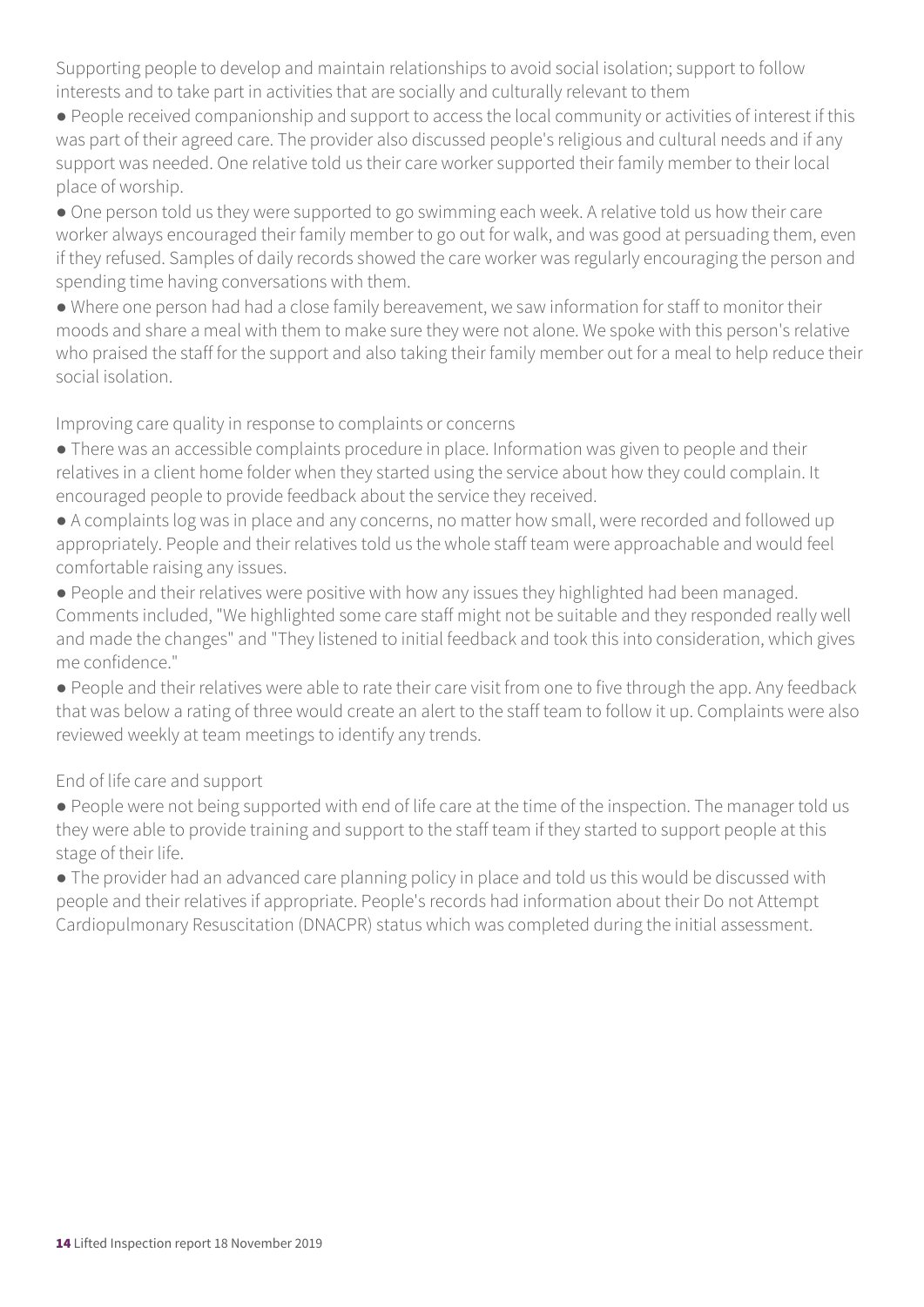Supporting people to develop and maintain relationships to avoid social isolation; support to follow interests and to take part in activities that are socially and culturally relevant to them

● People received companionship and support to access the local community or activities of interest if this was part of their agreed care. The provider also discussed people's religious and cultural needs and if any support was needed. One relative told us their care worker supported their family member to their local place of worship.

● One person told us they were supported to go swimming each week. A relative told us how their care worker always encouraged their family member to go out for walk, and was good at persuading them, even if they refused. Samples of daily records showed the care worker was regularly encouraging the person and spending time having conversations with them.

● Where one person had had a close family bereavement, we saw information for staff to monitor their moods and share a meal with them to make sure they were not alone. We spoke with this person's relative who praised the staff for the support and also taking their family member out for a meal to help reduce their social isolation.

Improving care quality in response to complaints or concerns

- There was an accessible complaints procedure in place. Information was given to people and their relatives in a client home folder when they started using the service about how they could complain. It encouraged people to provide feedback about the service they received.
- A complaints log was in place and any concerns, no matter how small, were recorded and followed up appropriately. People and their relatives told us the whole staff team were approachable and would feel comfortable raising any issues.
- People and their relatives were positive with how any issues they highlighted had been managed. Comments included, "We highlighted some care staff might not be suitable and they responded really well and made the changes" and "They listened to initial feedback and took this into consideration, which gives me confidence."
- People and their relatives were able to rate their care visit from one to five through the app. Any feedback that was below a rating of three would create an alert to the staff team to follow it up. Complaints were also reviewed weekly at team meetings to identify any trends.

End of life care and support

- People were not being supported with end of life care at the time of the inspection. The manager told us they were able to provide training and support to the staff team if they started to support people at this stage of their life.
- The provider had an advanced care planning policy in place and told us this would be discussed with people and their relatives if appropriate. People's records had information about their Do not Attempt Cardiopulmonary Resuscitation (DNACPR) status which was completed during the initial assessment.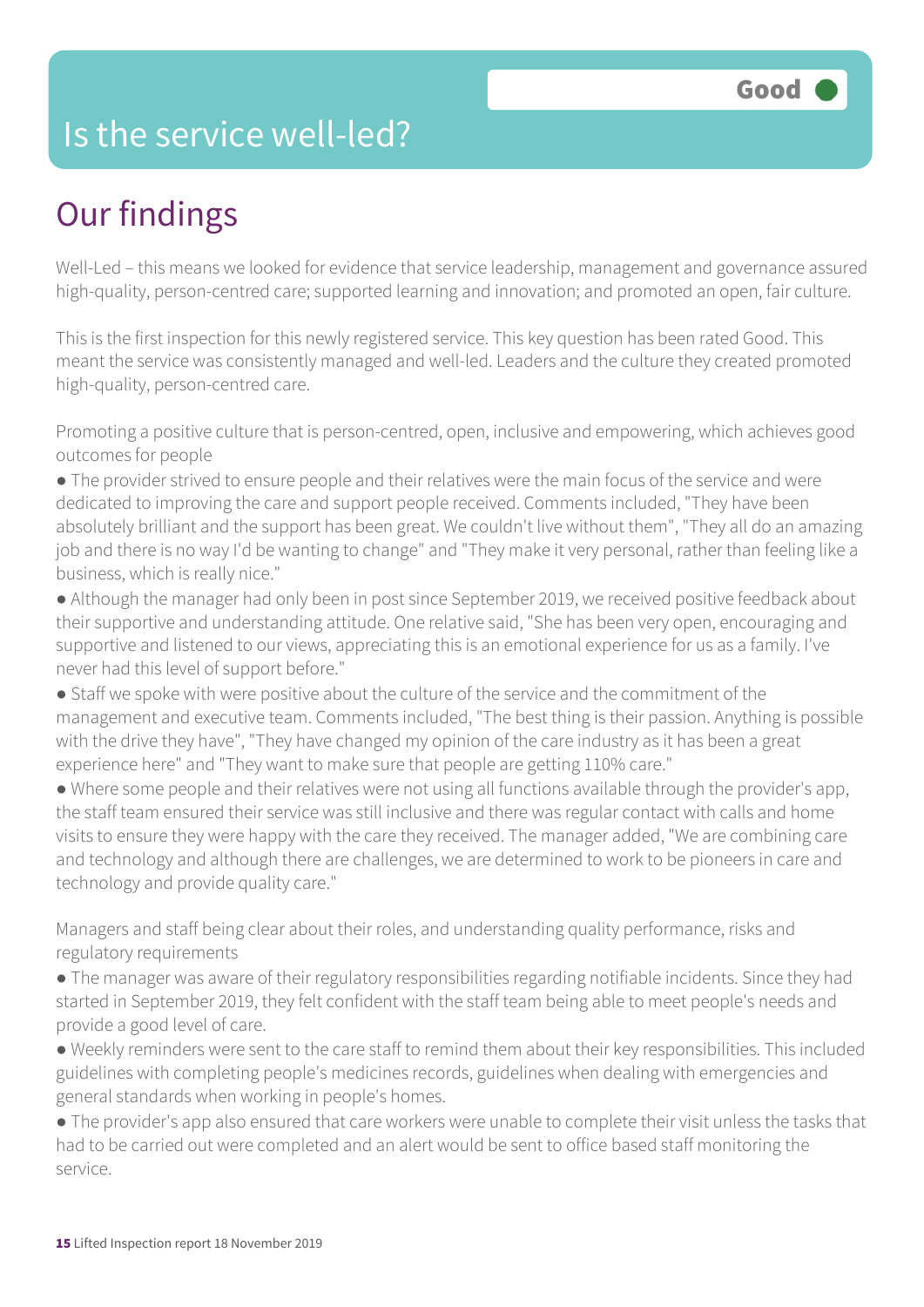### Is the service well-led?

# Our findings

Well-Led – this means we looked for evidence that service leadership, management and governance assured high-quality, person-centred care; supported learning and innovation; and promoted an open, fair culture.

This is the first inspection for this newly registered service. This key question has been rated Good. This meant the service was consistently managed and well-led. Leaders and the culture they created promoted high-quality, person-centred care.

Promoting a positive culture that is person-centred, open, inclusive and empowering, which achieves good outcomes for people

● The provider strived to ensure people and their relatives were the main focus of the service and were dedicated to improving the care and support people received. Comments included, "They have been absolutely brilliant and the support has been great. We couldn't live without them", "They all do an amazing job and there is no way I'd be wanting to change" and "They make it very personal, rather than feeling like a business, which is really nice."

● Although the manager had only been in post since September 2019, we received positive feedback about their supportive and understanding attitude. One relative said, "She has been very open, encouraging and supportive and listened to our views, appreciating this is an emotional experience for us as a family. I've never had this level of support before."

● Staff we spoke with were positive about the culture of the service and the commitment of the management and executive team. Comments included, "The best thing is their passion. Anything is possible with the drive they have", "They have changed my opinion of the care industry as it has been a great experience here" and "They want to make sure that people are getting 110% care."

● Where some people and their relatives were not using all functions available through the provider's app, the staff team ensured their service was still inclusive and there was regular contact with calls and home visits to ensure they were happy with the care they received. The manager added, "We are combining care and technology and although there are challenges, we are determined to work to be pioneers in care and technology and provide quality care."

Managers and staff being clear about their roles, and understanding quality performance, risks and regulatory requirements

- The manager was aware of their regulatory responsibilities regarding notifiable incidents. Since they had started in September 2019, they felt confident with the staff team being able to meet people's needs and provide a good level of care.
- Weekly reminders were sent to the care staff to remind them about their key responsibilities. This included guidelines with completing people's medicines records, guidelines when dealing with emergencies and general standards when working in people's homes.

● The provider's app also ensured that care workers were unable to complete their visit unless the tasks that had to be carried out were completed and an alert would be sent to office based staff monitoring the service.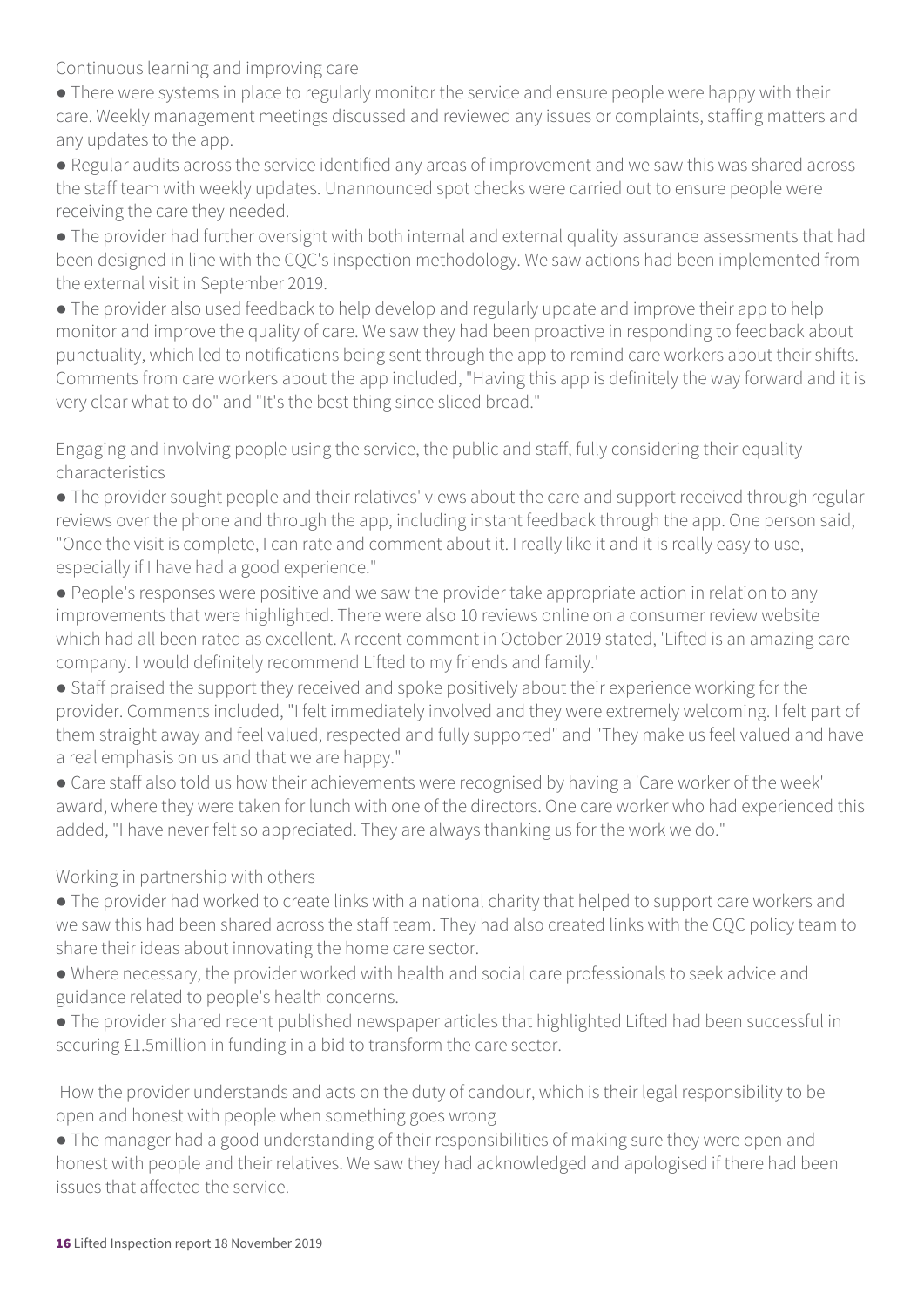Continuous learning and improving care

- There were systems in place to regularly monitor the service and ensure people were happy with their care. Weekly management meetings discussed and reviewed any issues or complaints, staffing matters and any updates to the app.
- Regular audits across the service identified any areas of improvement and we saw this was shared across the staff team with weekly updates. Unannounced spot checks were carried out to ensure people were receiving the care they needed.
- The provider had further oversight with both internal and external quality assurance assessments that had been designed in line with the CQC's inspection methodology. We saw actions had been implemented from the external visit in September 2019.
- The provider also used feedback to help develop and regularly update and improve their app to help monitor and improve the quality of care. We saw they had been proactive in responding to feedback about punctuality, which led to notifications being sent through the app to remind care workers about their shifts. Comments from care workers about the app included, "Having this app is definitely the way forward and it is very clear what to do" and "It's the best thing since sliced bread."
- Engaging and involving people using the service, the public and staff, fully considering their equality characteristics
- The provider sought people and their relatives' views about the care and support received through regular reviews over the phone and through the app, including instant feedback through the app. One person said, "Once the visit is complete, I can rate and comment about it. I really like it and it is really easy to use, especially if I have had a good experience."
- People's responses were positive and we saw the provider take appropriate action in relation to any improvements that were highlighted. There were also 10 reviews online on a consumer review website which had all been rated as excellent. A recent comment in October 2019 stated, 'Lifted is an amazing care company. I would definitely recommend Lifted to my friends and family.'
- Staff praised the support they received and spoke positively about their experience working for the provider. Comments included, "I felt immediately involved and they were extremely welcoming. I felt part of them straight away and feel valued, respected and fully supported" and "They make us feel valued and have a real emphasis on us and that we are happy."
- Care staff also told us how their achievements were recognised by having a 'Care worker of the week' award, where they were taken for lunch with one of the directors. One care worker who had experienced this added, "I have never felt so appreciated. They are always thanking us for the work we do."

Working in partnership with others

- The provider had worked to create links with a national charity that helped to support care workers and we saw this had been shared across the staff team. They had also created links with the CQC policy team to share their ideas about innovating the home care sector.
- Where necessary, the provider worked with health and social care professionals to seek advice and guidance related to people's health concerns.
- The provider shared recent published newspaper articles that highlighted Lifted had been successful in securing £1.5million in funding in a bid to transform the care sector.

 How the provider understands and acts on the duty of candour, which is their legal responsibility to be open and honest with people when something goes wrong

● The manager had a good understanding of their responsibilities of making sure they were open and honest with people and their relatives. We saw they had acknowledged and apologised if there had been issues that affected the service.